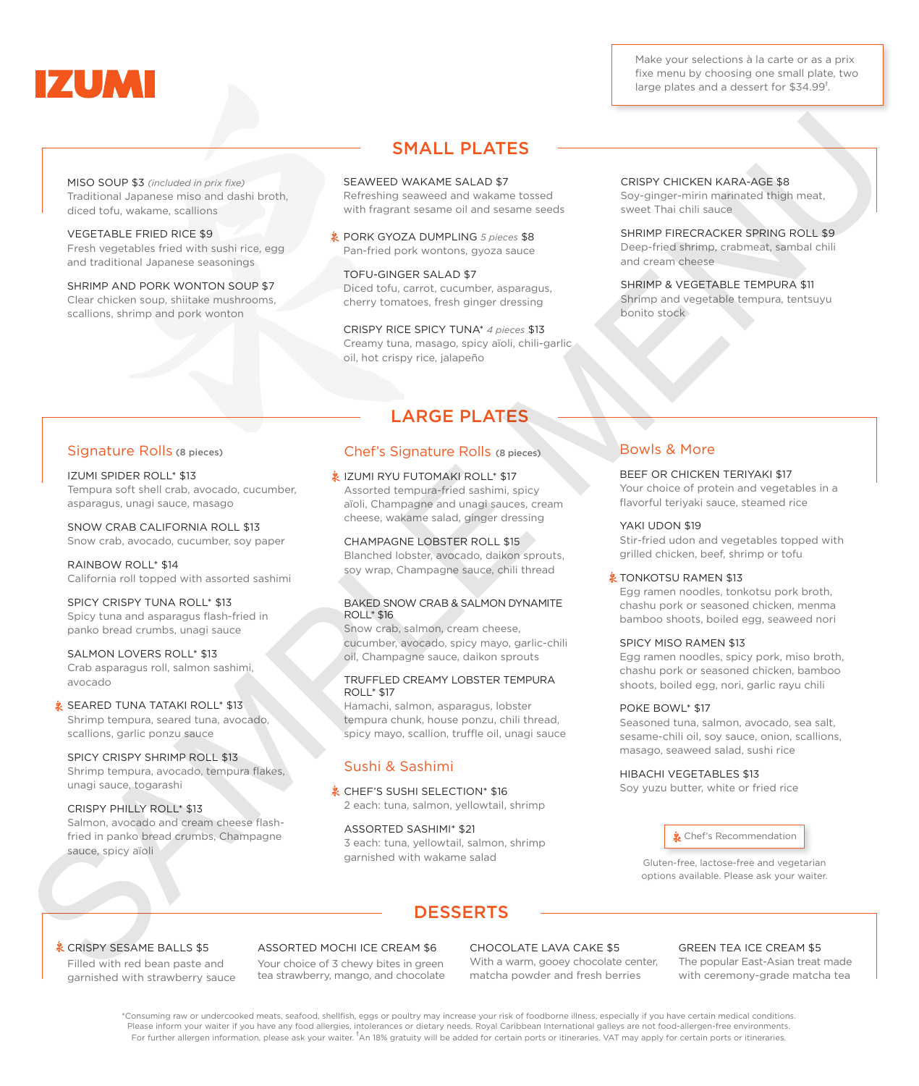

Make your selections à la carte or as a prix fixe menu by choosing one small plate, two large plates and a dessert for \$34.99<sup>t</sup>.

MISO SOUP \$3 *(included in prix fixe)* Traditional Japanese miso and dashi broth, diced tofu, wakame, scallions

VEGETABLE FRIED RICE \$9 Fresh vegetables fried with sushi rice, egg and traditional Japanese seasonings

SHRIMP AND PORK WONTON SOUP \$7 Clear chicken soup, shiitake mushrooms, scallions, shrimp and pork wonton

## SMALL PLATES

SEAWEED WAKAME SALAD \$7 Refreshing seaweed and wakame tossed with fragrant sesame oil and sesame seeds

PORK GYOZA DUMPLING *5 pieces* \$8 Pan-fried pork wontons, gyoza sauce

TOFU-GINGER SALAD \$7 Diced tofu, carrot, cucumber, asparagus, cherry tomatoes, fresh ginger dressing

CRISPY RICE SPICY TUNA\* *4 pieces* \$13 Creamy tuna, masago, spicy aïoli, chili-garlic oil, hot crispy rice, jalapeño

CRISPY CHICKEN KARA-AGE \$8 Soy-ginger-mirin marinated thigh meat, sweet Thai chili sauce

SHRIMP FIRECRACKER SPRING ROLL \$9 Deep-fried shrimp, crabmeat, sambal chili and cream cheese

SHRIMP & VEGETABLE TEMPURA \$11 Shrimp and vegetable tempura, tentsuyu bonito stock

### Signature Rolls (8 pieces)

IZUMI SPIDER ROLL\* \$13 Tempura soft shell crab, avocado, cucumber, asparagus, unagi sauce, masago

SNOW CRAB CALIFORNIA ROLL \$13 Snow crab, avocado, cucumber, soy paper

RAINBOW ROLL\* \$14 California roll topped with assorted sashimi

SPICY CRISPY TUNA ROLL\* \$13 Spicy tuna and asparagus flash-fried in panko bread crumbs, unagi sauce

SALMON LOVERS ROLL\* \$13 Crab asparagus roll, salmon sashimi, avocado

**& SEARED TUNA TATAKI ROLL\* \$13** Shrimp tempura, seared tuna, avocado, scallions, garlic ponzu sauce

SPICY CRISPY SHRIMP ROLL \$13 Shrimp tempura, avocado, tempura flakes, unagi sauce, togarashi

CRISPY PHILLY ROLL\* \$13 Salmon, avocado and cream cheese flashfried in panko bread crumbs, Champagne sauce, spicy aïoli SMALL PLATES<br>
SAML PLATES<br>
SAML PLATES<br>
SAML PLATES<br>
INSERIES AND CONSULATES CONSULATES AND CONSULATES ARE CONSULATED ASSESS TO A CONSULATE CONSULATE CONSULATE AND CONSULATE CONSULATE CONSULATE CONSULATE CONSULATE CONSULA

# LARGE PLATES

### Chef's Signature Rolls (8 pieces)

#### **& IZUMI RYU FUTOMAKI ROLL\* \$17**

Assorted tempura-fried sashimi, spicy aïoli, Champagne and unagi sauces, cream cheese, wakame salad, ginger dressing

CHAMPAGNE LOBSTER ROLL \$15

Blanched lobster, avocado, daikon sprouts, soy wrap, Champagne sauce, chili thread

#### BAKED SNOW CRAB & SALMON DYNAMITE ROLL\* \$16

Snow crab, salmon, cream cheese, cucumber, avocado, spicy mayo, garlic-chili oil, Champagne sauce, daikon sprouts

#### TRUFFLED CREAMY LOBSTER TEMPURA ROLL\* \$17

Hamachi, salmon, asparagus, lobster tempura chunk, house ponzu, chili thread, spicy mayo, scallion, truffle oil, unagi sauce

## Sushi & Sashimi

**& CHEF'S SUSHI SELECTION\* \$16** 2 each: tuna, salmon, yellowtail, shrimp

ASSORTED SASHIMI\* \$21 3 each: tuna, yellowtail, salmon, shrimp garnished with wakame salad

## Bowls & More

#### BEEF OR CHICKEN TERIYAKI \$17

Your choice of protein and vegetables in a flavorful teriyaki sauce, steamed rice

#### YAKI UDON \$19

Stir-fried udon and vegetables topped with grilled chicken, beef, shrimp or tofu

#### **象 TONKOTSU RAMEN \$13**

Egg ramen noodles, tonkotsu pork broth, chashu pork or seasoned chicken, menma bamboo shoots, boiled egg, seaweed nori

#### SPICY MISO RAMEN \$13

Egg ramen noodles, spicy pork, miso broth, chashu pork or seasoned chicken, bamboo shoots, boiled egg, nori, garlic rayu chili

#### POKE BOWL\* \$17

Seasoned tuna, salmon, avocado, sea salt, sesame-chili oil, soy sauce, onion, scallions, masago, seaweed salad, sushi rice

HIBACHI VEGETABLES \$13

Soy yuzu butter, white or fried rice



Gluten-free, lactose-free and vegetarian options available. Please ask your waiter.

#### **& CRISPY SESAME BALLS \$5**

Filled with red bean paste and garnished with strawberry sauce ASSORTED MOCHI ICE CREAM \$6

Your choice of 3 chewy bites in green tea strawberry, mango, and chocolate

#### CHOCOLATE LAVA CAKE \$5

With a warm, gooey chocolate center, matcha powder and fresh berries

#### GREEN TEA ICE CREAM \$5

The popular East-Asian treat made with ceremony-grade matcha tea

\*Consuming raw or undercooked meats, seafood, shellfish, eggs or poultry may increase your risk of foodborne illness, especially if you have certain medical conditions. Please inform your waiter if you have any food allergies, intolerances or dietary needs. Royal Caribbean International galleys are not food-allergen-free environments. For further allergen information, please ask your waiter. <sup>†</sup>An 18% gratuity will be added for certain ports or itineraries. VAT may apply for certain ports or itineraries.

DESSERTS